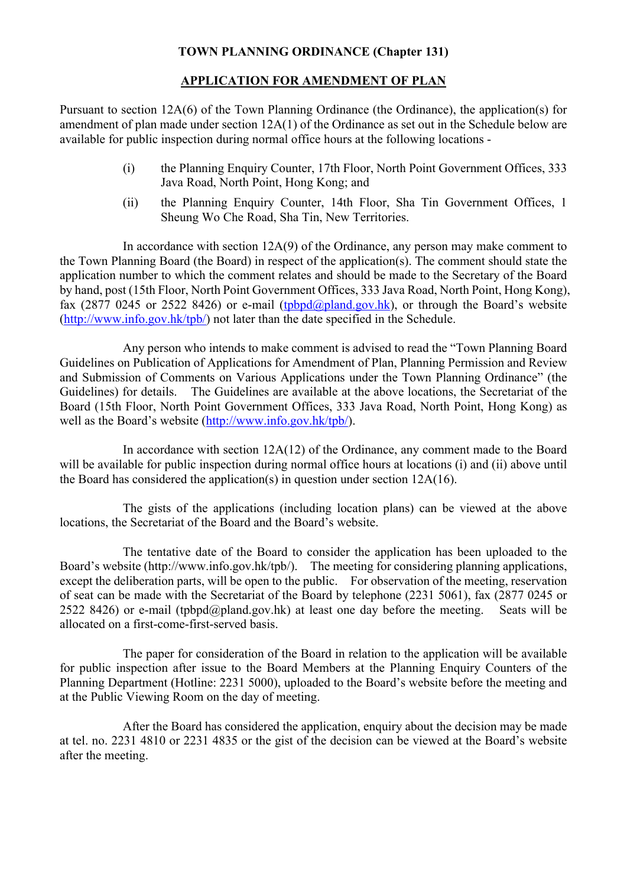## **TOWN PLANNING ORDINANCE (Chapter 131)**

## **APPLICATION FOR AMENDMENT OF PLAN**

Pursuant to section 12A(6) of the Town Planning Ordinance (the Ordinance), the application(s) for amendment of plan made under section 12A(1) of the Ordinance as set out in the Schedule below are available for public inspection during normal office hours at the following locations -

- (i) the Planning Enquiry Counter, 17th Floor, North Point Government Offices, 333 Java Road, North Point, Hong Kong; and
- (ii) the Planning Enquiry Counter, 14th Floor, Sha Tin Government Offices, 1 Sheung Wo Che Road, Sha Tin, New Territories.

In accordance with section  $12A(9)$  of the Ordinance, any person may make comment to the Town Planning Board (the Board) in respect of the application(s). The comment should state the application number to which the comment relates and should be made to the Secretary of the Board by hand, post (15th Floor, North Point Government Offices, 333 Java Road, North Point, Hong Kong), fax (2877 0245 or 2522 8426) or e-mail ([tpbpd@pland.gov.hk\)](mailto:tpbpd@pland.gov.hk), or through the Board's website ([http://www.info.gov.hk/tpb/\)](http://www.info.gov.hk/tpb/) not later than the date specified in the Schedule.

Any person who intends to make comment is advised to read the "Town Planning Board Guidelines on Publication of Applications for Amendment of Plan, Planning Permission and Review and Submission of Comments on Various Applications under the Town Planning Ordinance" (the Guidelines) for details. The Guidelines are available at the above locations, the Secretariat of the Board (15th Floor, North Point Government Offices, 333 Java Road, North Point, Hong Kong) as well as the Board's website ([http://www.info.gov.hk/tpb/\)](http://www.info.gov.hk/tpb/).

In accordance with section 12A(12) of the Ordinance, any comment made to the Board will be available for public inspection during normal office hours at locations (i) and (ii) above until the Board has considered the application(s) in question under section  $12A(16)$ .

The gists of the applications (including location plans) can be viewed at the above locations, the Secretariat of the Board and the Board's website.

The tentative date of the Board to consider the application has been uploaded to the Board's website (http://www.info.gov.hk/tpb/). The meeting for considering planning applications, except the deliberation parts, will be open to the public. For observation of the meeting, reservation of seat can be made with the Secretariat of the Board by telephone (2231 5061), fax (2877 0245 or 2522 8426) or e-mail (tpbpd@pland.gov.hk) at least one day before the meeting. Seats will be allocated on a first-come-first-served basis.

The paper for consideration of the Board in relation to the application will be available for public inspection after issue to the Board Members at the Planning Enquiry Counters of the Planning Department (Hotline: 2231 5000), uploaded to the Board's website before the meeting and at the Public Viewing Room on the day of meeting.

After the Board has considered the application, enquiry about the decision may be made at tel. no. 2231 4810 or 2231 4835 or the gist of the decision can be viewed at the Board's website after the meeting.